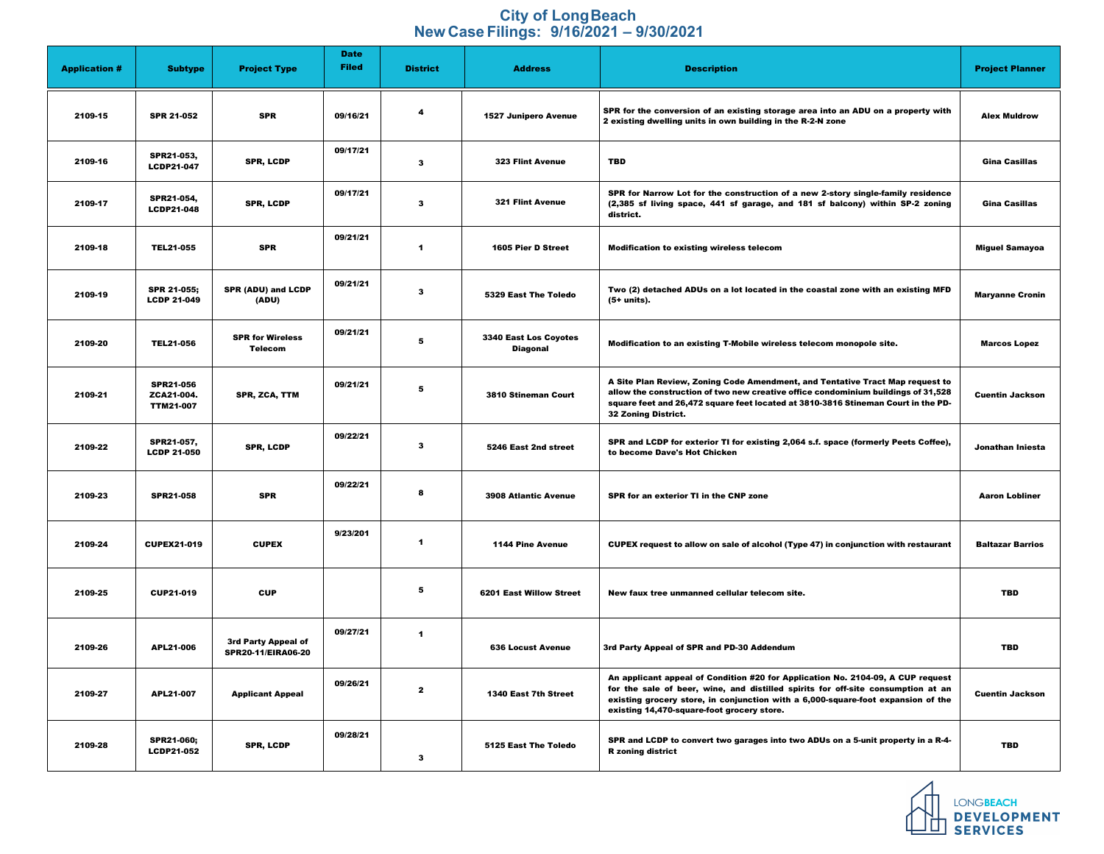## **City of Long Beach New Case Filings: 9/16/2021 – 9/30/2021**

|                      |                                                    |                                                  | <b>Date</b>  |                         |                                                 |                                                                                                                                                                                                                                                                                                       |                         |
|----------------------|----------------------------------------------------|--------------------------------------------------|--------------|-------------------------|-------------------------------------------------|-------------------------------------------------------------------------------------------------------------------------------------------------------------------------------------------------------------------------------------------------------------------------------------------------------|-------------------------|
| <b>Application #</b> | <b>Subtype</b>                                     | <b>Project Type</b>                              | <b>Filed</b> | <b>District</b>         | <b>Address</b>                                  | <b>Description</b>                                                                                                                                                                                                                                                                                    | <b>Project Planner</b>  |
| 2109-15              | <b>SPR 21-052</b>                                  | <b>SPR</b>                                       | 09/16/21     | $\overline{\mathbf{4}}$ | <b>1527 Junipero Avenue</b>                     | SPR for the conversion of an existing storage area into an ADU on a property with<br>2 existing dwelling units in own building in the R-2-N zone                                                                                                                                                      | <b>Alex Muldrow</b>     |
| 2109-16              | <b>SPR21-053,</b><br><b>LCDP21-047</b>             | <b>SPR, LCDP</b>                                 | 09/17/21     | $\mathbf{3}$            | <b>323 Flint Avenue</b>                         | <b>TBD</b>                                                                                                                                                                                                                                                                                            | <b>Gina Casillas</b>    |
| 2109-17              | <b>SPR21-054,</b><br><b>LCDP21-048</b>             | <b>SPR, LCDP</b>                                 | 09/17/21     | $\mathbf{3}$            | <b>321 Flint Avenue</b>                         | SPR for Narrow Lot for the construction of a new 2-story single-family residence<br>(2,385 sf living space, 441 sf garage, and 181 sf balcony) within SP-2 zoning<br>district.                                                                                                                        | <b>Gina Casillas</b>    |
| 2109-18              | <b>TEL21-055</b>                                   | <b>SPR</b>                                       | 09/21/21     | -1                      | 1605 Pier D Street                              | <b>Modification to existing wireless telecom</b>                                                                                                                                                                                                                                                      | <b>Miguel Samayoa</b>   |
| 2109-19              | <b>SPR 21-055;</b><br><b>LCDP 21-049</b>           | <b>SPR (ADU) and LCDP</b><br>(ADU)               | 09/21/21     | $\mathbf{3}$            | 5329 East The Toledo                            | Two (2) detached ADUs on a lot located in the coastal zone with an existing MFD<br>(5+ units).                                                                                                                                                                                                        | <b>Maryanne Cronin</b>  |
| 2109-20              | <b>TEL21-056</b>                                   | <b>SPR for Wireless</b><br><b>Telecom</b>        | 09/21/21     | 5                       | <b>3340 East Los Coyotes</b><br><b>Diagonal</b> | Modification to an existing T-Mobile wireless telecom monopole site.                                                                                                                                                                                                                                  | <b>Marcos Lopez</b>     |
| 2109-21              | <b>SPR21-056</b><br>ZCA21-004.<br><b>TTM21-007</b> | <b>SPR, ZCA, TTM</b>                             | 09/21/21     | $\overline{\mathbf{5}}$ | <b>3810 Stineman Court</b>                      | A Site Plan Review, Zoning Code Amendment, and Tentative Tract Map request to<br>allow the construction of two new creative office condominium buildings of 31,528<br>square feet and 26,472 square feet located at 3810-3816 Stineman Court in the PD-<br>32 Zoning District.                        | <b>Cuentin Jackson</b>  |
| 2109-22              | <b>SPR21-057,</b><br><b>LCDP 21-050</b>            | <b>SPR, LCDP</b>                                 | 09/22/21     | $\mathbf{3}$            | 5246 East 2nd street                            | SPR and LCDP for exterior TI for existing 2,064 s.f. space (formerly Peets Coffee),<br>to become Dave's Hot Chicken                                                                                                                                                                                   | Jonathan Iniesta        |
| 2109-23              | <b>SPR21-058</b>                                   | <b>SPR</b>                                       | 09/22/21     | 8                       | <b>3908 Atlantic Avenue</b>                     | SPR for an exterior TI in the CNP zone                                                                                                                                                                                                                                                                | <b>Aaron Lobliner</b>   |
| 2109-24              | <b>CUPEX21-019</b>                                 | <b>CUPEX</b>                                     | 9/23/201     | -1                      | <b>1144 Pine Avenue</b>                         | CUPEX request to allow on sale of alcohol (Type 47) in conjunction with restaurant                                                                                                                                                                                                                    | <b>Baltazar Barrios</b> |
| 2109-25              | CUP21-019                                          | <b>CUP</b>                                       |              | $\overline{\mathbf{5}}$ | <b>6201 East Willow Street</b>                  | New faux tree unmanned cellular telecom site.                                                                                                                                                                                                                                                         | <b>TBD</b>              |
| 2109-26              | <b>APL21-006</b>                                   | 3rd Party Appeal of<br><b>SPR20-11/EIRA06-20</b> | 09/27/21     | $\mathbf 1$             | <b>636 Locust Avenue</b>                        | 3rd Party Appeal of SPR and PD-30 Addendum                                                                                                                                                                                                                                                            | <b>TBD</b>              |
| 2109-27              | <b>APL21-007</b>                                   | <b>Applicant Appeal</b>                          | 09/26/21     | $\mathbf{2}$            | 1340 East 7th Street                            | An applicant appeal of Condition #20 for Application No. 2104-09, A CUP request<br>for the sale of beer, wine, and distilled spirits for off-site consumption at an<br>existing grocery store, in conjunction with a 6,000-square-foot expansion of the<br>existing 14,470-square-foot grocery store. | <b>Cuentin Jackson</b>  |
| 2109-28              | <b>SPR21-060;</b><br><b>LCDP21-052</b>             | SPR, LCDP                                        | 09/28/21     | $\mathbf{3}$            | 5125 East The Toledo                            | SPR and LCDP to convert two garages into two ADUs on a 5-unit property in a R-4-<br><b>R</b> zoning district                                                                                                                                                                                          | <b>TBD</b>              |